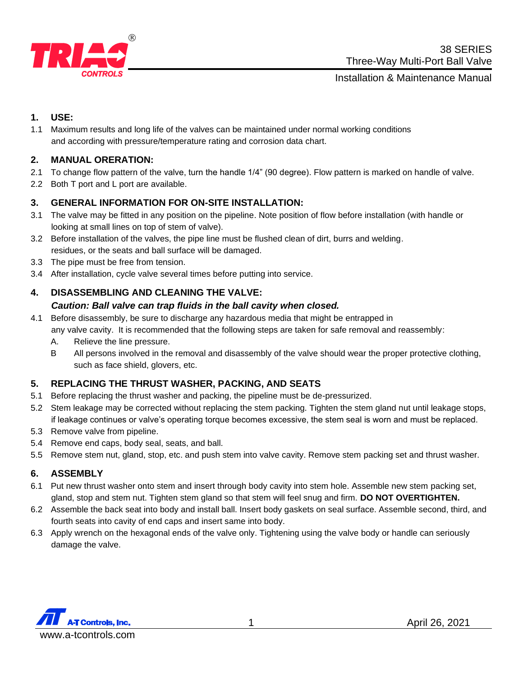

## Installation & Maintenance Manual

# **1. USE:**

1.1 Maximum results and long life of the valves can be maintained under normal working conditions and according with pressure/temperature rating and corrosion data chart.

# **2. MANUAL ORERATION:**

- 2.1 To change flow pattern of the valve, turn the handle 1/4" (90 degree). Flow pattern is marked on handle of valve.
- 2.2 Both T port and L port are available.

## **3. GENERAL INFORMATION FOR ON-SITE INSTALLATION:**

- 3.1 The valve may be fitted in any position on the pipeline. Note position of flow before installation (with handle or looking at small lines on top of stem of valve).
- 3.2 Before installation of the valves, the pipe line must be flushed clean of dirt, burrs and welding. residues, or the seats and ball surface will be damaged.
- 3.3 The pipe must be free from tension.
- 3.4 After installation, cycle valve several times before putting into service.

## **4. DISASSEMBLING AND CLEANING THE VALVE:**

#### *Caution: Ball valve can trap fluids in the ball cavity when closed.*

- 4.1 Before disassembly, be sure to discharge any hazardous media that might be entrapped in any valve cavity. It is recommended that the following steps are taken for safe removal and reassembly:
	- A. Relieve the line pressure.
	- B All persons involved in the removal and disassembly of the valve should wear the proper protective clothing, such as face shield, glovers, etc.

#### **5. REPLACING THE THRUST WASHER, PACKING, AND SEATS**

- 5.1 Before replacing the thrust washer and packing, the pipeline must be de-pressurized.
- 5.2 Stem leakage may be corrected without replacing the stem packing. Tighten the stem gland nut until leakage stops, if leakage continues or valve's operating torque becomes excessive, the stem seal is worn and must be replaced.
- 5.3 Remove valve from pipeline.
- 5.4 Remove end caps, body seal, seats, and ball.
- 5.5 Remove stem nut, gland, stop, etc. and push stem into valve cavity. Remove stem packing set and thrust washer.

#### **6. ASSEMBLY**

- 6.1 Put new thrust washer onto stem and insert through body cavity into stem hole. Assemble new stem packing set, gland, stop and stem nut. Tighten stem gland so that stem will feel snug and firm. **DO NOT OVERTIGHTEN.**
- 6.2 Assemble the back seat into body and install ball. Insert body gaskets on seal surface. Assemble second, third, and fourth seats into cavity of end caps and insert same into body.
- 6.3 Apply wrench on the hexagonal ends of the valve only. Tightening using the valve body or handle can seriously damage the valve.

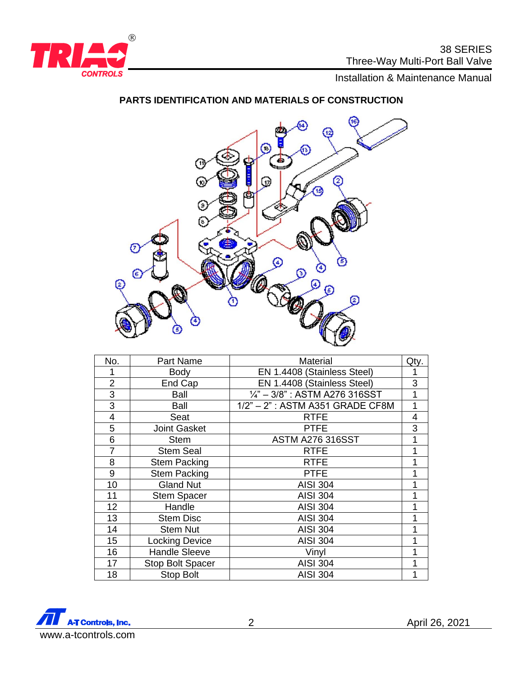

Installation & Maintenance Manual

# **PARTS IDENTIFICATION AND MATERIALS OF CONSTRUCTION**



| No.            | Part Name               | Material                                 | Qty. |
|----------------|-------------------------|------------------------------------------|------|
| 1              | <b>Body</b>             | EN 1.4408 (Stainless Steel)              | 1    |
| $\overline{2}$ | End Cap                 | EN 1.4408 (Stainless Steel)              | 3    |
| 3              | Ball                    | $\frac{1}{4}$ " – 3/8": ASTM A276 316SST | 1    |
| 3              | Ball                    | 1/2" - 2": ASTM A351 GRADE CF8M          | 1    |
| 4              | Seat                    | <b>RTFE</b>                              | 4    |
| 5              | <b>Joint Gasket</b>     | <b>PTFE</b>                              | 3    |
| 6              | <b>Stem</b>             | <b>ASTM A276 316SST</b>                  | 1    |
| $\overline{7}$ | <b>Stem Seal</b>        | <b>RTFE</b>                              |      |
| 8              | <b>Stem Packing</b>     | <b>RTFE</b>                              | 1    |
| 9              | <b>Stem Packing</b>     | <b>PTFE</b>                              |      |
| 10             | <b>Gland Nut</b>        | <b>AISI 304</b>                          |      |
| 11             | <b>Stem Spacer</b>      | <b>AISI 304</b>                          | 1    |
| 12             | Handle                  | <b>AISI 304</b>                          |      |
| 13             | <b>Stem Disc</b>        | <b>AISI 304</b>                          |      |
| 14             | <b>Stem Nut</b>         | <b>AISI 304</b>                          |      |
| 15             | <b>Locking Device</b>   | <b>AISI 304</b>                          |      |
| 16             | <b>Handle Sleeve</b>    | Vinyl                                    |      |
| 17             | <b>Stop Bolt Spacer</b> | <b>AISI 304</b>                          |      |
| 18             | <b>Stop Bolt</b>        | <b>AISI 304</b>                          | 1    |



April 26, 2021